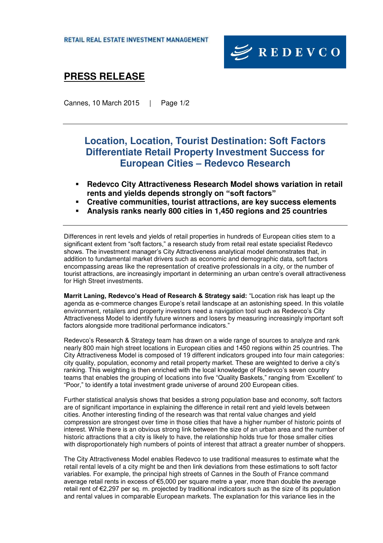

# **PRESS RELEASE**

Cannes, 10 March 2015 | Page 1/2

### **Location, Location, Tourist Destination: Soft Factors Differentiate Retail Property Investment Success for European Cities – Redevco Research**

- **Redevco City Attractiveness Research Model shows variation in retail rents and yields depends strongly on "soft factors"**
- **Creative communities, tourist attractions, are key success elements**
- **Analysis ranks nearly 800 cities in 1,450 regions and 25 countries**

Differences in rent levels and yields of retail properties in hundreds of European cities stem to a significant extent from "soft factors," a research study from retail real estate specialist Redevco shows. The investment manager's City Attractiveness analytical model demonstrates that, in addition to fundamental market drivers such as economic and demographic data, soft factors encompassing areas like the representation of creative professionals in a city, or the number of tourist attractions, are increasingly important in determining an urban centre's overall attractiveness for High Street investments.

**Marrit Laning, Redevco's Head of Research & Strategy said:** "Location risk has leapt up the agenda as e-commerce changes Europe's retail landscape at an astonishing speed. In this volatile environment, retailers and property investors need a navigation tool such as Redevco's City Attractiveness Model to identify future winners and losers by measuring increasingly important soft factors alongside more traditional performance indicators."

Redevco's Research & Strategy team has drawn on a wide range of sources to analyze and rank nearly 800 main high street locations in European cities and 1450 regions within 25 countries. The City Attractiveness Model is composed of 19 different indicators grouped into four main categories: city quality, population, economy and retail property market. These are weighted to derive a city's ranking. This weighting is then enriched with the local knowledge of Redevco's seven country teams that enables the grouping of locations into five "Quality Baskets," ranging from 'Excellent' to "Poor," to identify a total investment grade universe of around 200 European cities.

Further statistical analysis shows that besides a strong population base and economy, soft factors are of significant importance in explaining the difference in retail rent and yield levels between cities. Another interesting finding of the research was that rental value changes and yield compression are strongest over time in those cities that have a higher number of historic points of interest. While there is an obvious strong link between the size of an urban area and the number of historic attractions that a city is likely to have, the relationship holds true for those smaller cities with disproportionately high numbers of points of interest that attract a greater number of shoppers.

The City Attractiveness Model enables Redevco to use traditional measures to estimate what the retail rental levels of a city might be and then link deviations from these estimations to soft factor variables. For example, the principal high streets of Cannes in the South of France command average retail rents in excess of €5,000 per square metre a year, more than double the average retail rent of €2,297 per sq. m. projected by traditional indicators such as the size of its population and rental values in comparable European markets. The explanation for this variance lies in the